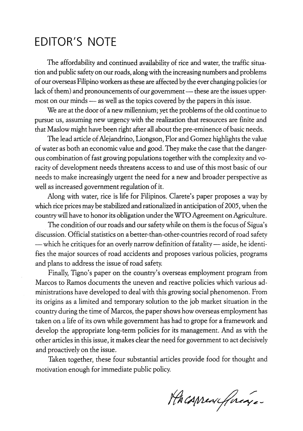## **EDITOR'S NOTE**

The affordability and continued availability of rice and water, the traffic situation and public safety on our roads, along with the increasing numbers and problems of our overseas Filipino workers as these are affected by the ever changing policies (or lack of them) and pronouncements of our government-these are the issues uppermost on our minds — as well as the topics covered by the papers in this issue.

We are at the door of a new millennium; yet the problems of the old continue to pursue us, assuming new urgency with the realization that resources are finite and that Maslow might have been right after all about the pre-eminence of basic needs.

The lead article of Alejandrino, Liongson, Flor and Gomez highlights the value of water as both an economic value and good. They make the case that the dangerous combination of fast growing populations together with the complexity and voracity of development needs threatens access to and use of this most basic of our needs to make increasingly urgent the need for a new and broader perspective as well as increased government regulation of it.

Along with water, rice is life for Filipinos. Clarete's paper proposes a way by which rice prices may be stabilized and rationalized in anticipation of 2005, when the country will have to honor its obligation under the WTO Agreement on Agriculture.

The condition of our roads and our safety while on them is the focus of Sigua's discussion. Official statistics on a better-than-other-countries record of road safety -which he critiques for an overly narrow definition of fatality-aside, he identifies the major sources of road accidents and proposes various policies, programs and plans to address the issue of road safety.

Finally, Tigno's paper on the country's overseas employment program from Marcos to Ramos documents the uneven and reactive policies which various administrations have developed to deal with this growing social phenomenon. From its origins as a limited and temporary solution to the job market situation in the country during the time of Marcos, the paper shows how overseas employment has taken on a life of its own while government has had to grope for a framework and develop the appropriate long-term policies for its management. And as with the other articles in this issue, it makes dear the need for government to act decisively and proactively on the issue.

Taken together, these four substantial articles provide food for thought and motivation enough for immediate public policy.

PACAMENtfrage-